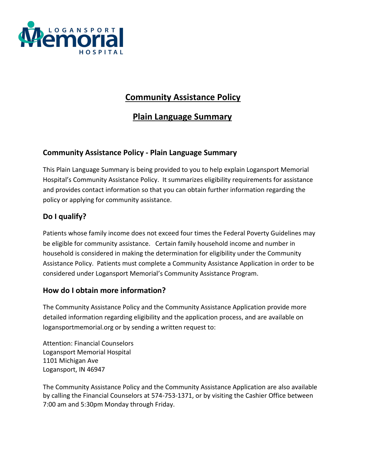

# **Community Assistance Policy**

# **Plain Language Summary**

### **Community Assistance Policy - Plain Language Summary**

This Plain Language Summary is being provided to you to help explain Logansport Memorial Hospital's Community Assistance Policy. It summarizes eligibility requirements for assistance and provides contact information so that you can obtain further information regarding the policy or applying for community assistance.

## **Do I qualify?**

Patients whose family income does not exceed four times the Federal Poverty Guidelines may be eligible for community assistance. Certain family household income and number in household is considered in making the determination for eligibility under the Community Assistance Policy. Patients must complete a Community Assistance Application in order to be considered under Logansport Memorial's Community Assistance Program.

#### **How do I obtain more information?**

The Community Assistance Policy and the Community Assistance Application provide more detailed information regarding eligibility and the application process, and are available on logansportmemorial.org or by sending a written request to:

Attention: Financial Counselors Logansport Memorial Hospital 1101 Michigan Ave Logansport, IN 46947

The Community Assistance Policy and the Community Assistance Application are also available by calling the Financial Counselors at 574-753-1371, or by visiting the Cashier Office between 7:00 am and 5:30pm Monday through Friday.